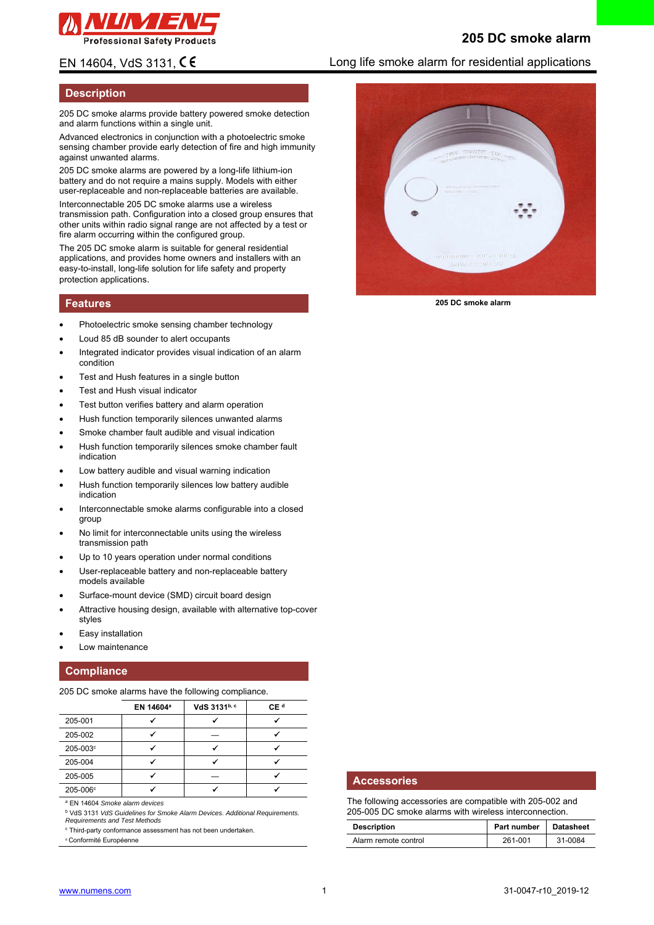

# **205 DC smoke alarm**

### **Description**

205 DC smoke alarms provide battery powered smoke detection and alarm functions within a single unit.

Advanced electronics in conjunction with a photoelectric smoke sensing chamber provide early detection of fire and high immunity against unwanted alarms.

205 DC smoke alarms are powered by a long-life lithium-ion battery and do not require a mains supply. Models with either user-replaceable and non-replaceable batteries are available.

Interconnectable 205 DC smoke alarms use a wireless transmission path. Configuration into a closed group ensures that other units within radio signal range are not affected by a test or fire alarm occurring within the configured group.

The 205 DC smoke alarm is suitable for general residential applications, and provides home owners and installers with an easy-to-install, long-life solution for life safety and property protection applications.

#### **Features**

- Photoelectric smoke sensing chamber technology
- Loud 85 dB sounder to alert occupants
- Integrated indicator provides visual indication of an alarm condition
- Test and Hush features in a single button
- Test and Hush visual indicator
- Test button verifies battery and alarm operation
- Hush function temporarily silences unwanted alarms
- Smoke chamber fault audible and visual indication
- Hush function temporarily silences smoke chamber fault indication
- Low battery audible and visual warning indication
- Hush function temporarily silences low battery audible indication
- Interconnectable smoke alarms configurable into a closed group
- No limit for interconnectable units using the wireless transmission path
- Up to 10 years operation under normal conditions
- User-replaceable battery and non-replaceable battery models available
- Surface-mount device (SMD) circuit board design
- Attractive housing design, available with alternative top-cover styles
- Easy installation
- Low maintenance

### **Compliance**

205 DC smoke alarms have the following compliance.

|          | EN 14604 <sup>a</sup> | VdS 3131b, c | CE <sup>d</sup> |
|----------|-----------------------|--------------|-----------------|
| 205-001  |                       |              |                 |
| 205-002  |                       |              |                 |
| 205-003° |                       |              |                 |
| 205-004  |                       |              |                 |
| 205-005  |                       |              |                 |
| 205-006° |                       |              |                 |

a EN 14604 *Smoke alarm devices* 

b VdS 3131 *VdS Guidelines for Smoke Alarm Devices. Additional Requirements. Requirements and Test Methods* 

c Third-party conformance assessment has not been undertaken.

<sup>d</sup> Conformité Européenne

# EN 14604, VdS 3131,  $\mathsf{CE}$  extending Long life smoke alarm for residential applications



**205 DC smoke alarm** 

#### **Accessories**

The following accessories are compatible with 205-002 and 205-005 DC smoke alarms with wireless interconnection.

| <b>Description</b>   | Part number   Datasheet |         |
|----------------------|-------------------------|---------|
| Alarm remote control | 261-001                 | 31-0084 |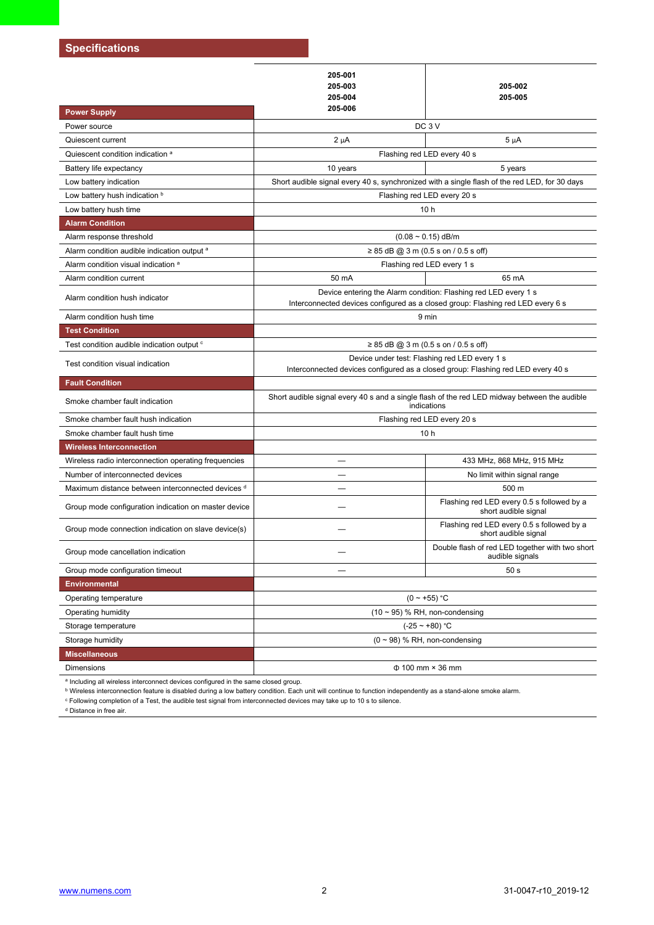## **Specifications**

|                                                        | 205-001<br>205-003<br>205-004<br>205-006                                                                                                           | 205-002<br>205-005                                                 |  |  |
|--------------------------------------------------------|----------------------------------------------------------------------------------------------------------------------------------------------------|--------------------------------------------------------------------|--|--|
| <b>Power Supply</b>                                    | DC <sub>3</sub> V                                                                                                                                  |                                                                    |  |  |
| Power source                                           |                                                                                                                                                    |                                                                    |  |  |
| Quiescent current                                      | $2 \mu A$                                                                                                                                          | $5 \mu A$                                                          |  |  |
| Quiescent condition indication a                       |                                                                                                                                                    | Flashing red LED every 40 s                                        |  |  |
| Battery life expectancy                                | 10 years                                                                                                                                           | 5 years                                                            |  |  |
| Low battery indication                                 | Short audible signal every 40 s, synchronized with a single flash of the red LED, for 30 days                                                      |                                                                    |  |  |
| Low battery hush indication b                          | Flashing red LED every 20 s                                                                                                                        |                                                                    |  |  |
| Low battery hush time                                  | 10 <sub>h</sub>                                                                                                                                    |                                                                    |  |  |
| <b>Alarm Condition</b>                                 |                                                                                                                                                    |                                                                    |  |  |
| Alarm response threshold                               | $(0.08 \sim 0.15)$ dB/m                                                                                                                            |                                                                    |  |  |
| Alarm condition audible indication output <sup>a</sup> | $\geq$ 85 dB @ 3 m (0.5 s on / 0.5 s off)                                                                                                          |                                                                    |  |  |
| Alarm condition visual indication <sup>a</sup>         | Flashing red LED every 1 s                                                                                                                         |                                                                    |  |  |
| Alarm condition current                                | 50 mA                                                                                                                                              | 65 mA                                                              |  |  |
| Alarm condition hush indicator                         | Device entering the Alarm condition: Flashing red LED every 1 s<br>Interconnected devices configured as a closed group: Flashing red LED every 6 s |                                                                    |  |  |
| Alarm condition hush time                              | 9 min                                                                                                                                              |                                                                    |  |  |
| <b>Test Condition</b>                                  |                                                                                                                                                    |                                                                    |  |  |
| Test condition audible indication output <sup>c</sup>  | ≥ 85 dB @ 3 m (0.5 s on / 0.5 s off)                                                                                                               |                                                                    |  |  |
| Test condition visual indication                       | Device under test: Flashing red LED every 1 s<br>Interconnected devices configured as a closed group: Flashing red LED every 40 s                  |                                                                    |  |  |
| <b>Fault Condition</b>                                 |                                                                                                                                                    |                                                                    |  |  |
| Smoke chamber fault indication                         | Short audible signal every 40 s and a single flash of the red LED midway between the audible<br>indications                                        |                                                                    |  |  |
| Smoke chamber fault hush indication                    |                                                                                                                                                    | Flashing red LED every 20 s                                        |  |  |
| Smoke chamber fault hush time                          |                                                                                                                                                    | 10 <sub>h</sub>                                                    |  |  |
| <b>Wireless Interconnection</b>                        |                                                                                                                                                    |                                                                    |  |  |
| Wireless radio interconnection operating frequencies   |                                                                                                                                                    | 433 MHz, 868 MHz, 915 MHz                                          |  |  |
| Number of interconnected devices                       | $\overline{\phantom{0}}$                                                                                                                           | No limit within signal range                                       |  |  |
| Maximum distance between interconnected devices d      |                                                                                                                                                    | 500 m                                                              |  |  |
| Group mode configuration indication on master device   |                                                                                                                                                    | Flashing red LED every 0.5 s followed by a<br>short audible signal |  |  |
| Group mode connection indication on slave device(s)    |                                                                                                                                                    | Flashing red LED every 0.5 s followed by a<br>short audible signal |  |  |
| Group mode cancellation indication                     |                                                                                                                                                    | Double flash of red LED together with two short<br>audible signals |  |  |
| Group mode configuration timeout                       |                                                                                                                                                    | 50 <sub>s</sub>                                                    |  |  |
| <b>Environmental</b>                                   |                                                                                                                                                    |                                                                    |  |  |
| Operating temperature                                  | $(0 - +55)$ °C                                                                                                                                     |                                                                    |  |  |
| Operating humidity                                     | $(10 \sim 95)$ % RH, non-condensing                                                                                                                |                                                                    |  |  |
| Storage temperature                                    | $(-25 - 80)$ °C                                                                                                                                    |                                                                    |  |  |
| Storage humidity                                       | $(0 \sim 98)$ % RH, non-condensing                                                                                                                 |                                                                    |  |  |
| <b>Miscellaneous</b>                                   |                                                                                                                                                    |                                                                    |  |  |
| Dimensions                                             |                                                                                                                                                    | $\Phi$ 100 mm $\times$ 36 mm                                       |  |  |

a Including all wireless interconnect devices configured in the same closed group.

b Wireless interconnection feature is disabled during a low battery condition. Each unit will continue to function independently as a stand-alone smoke alarm.

c Following completion of a Test, the audible test signal from interconnected devices may take up to 10 s to silence.

d Distance in free air.